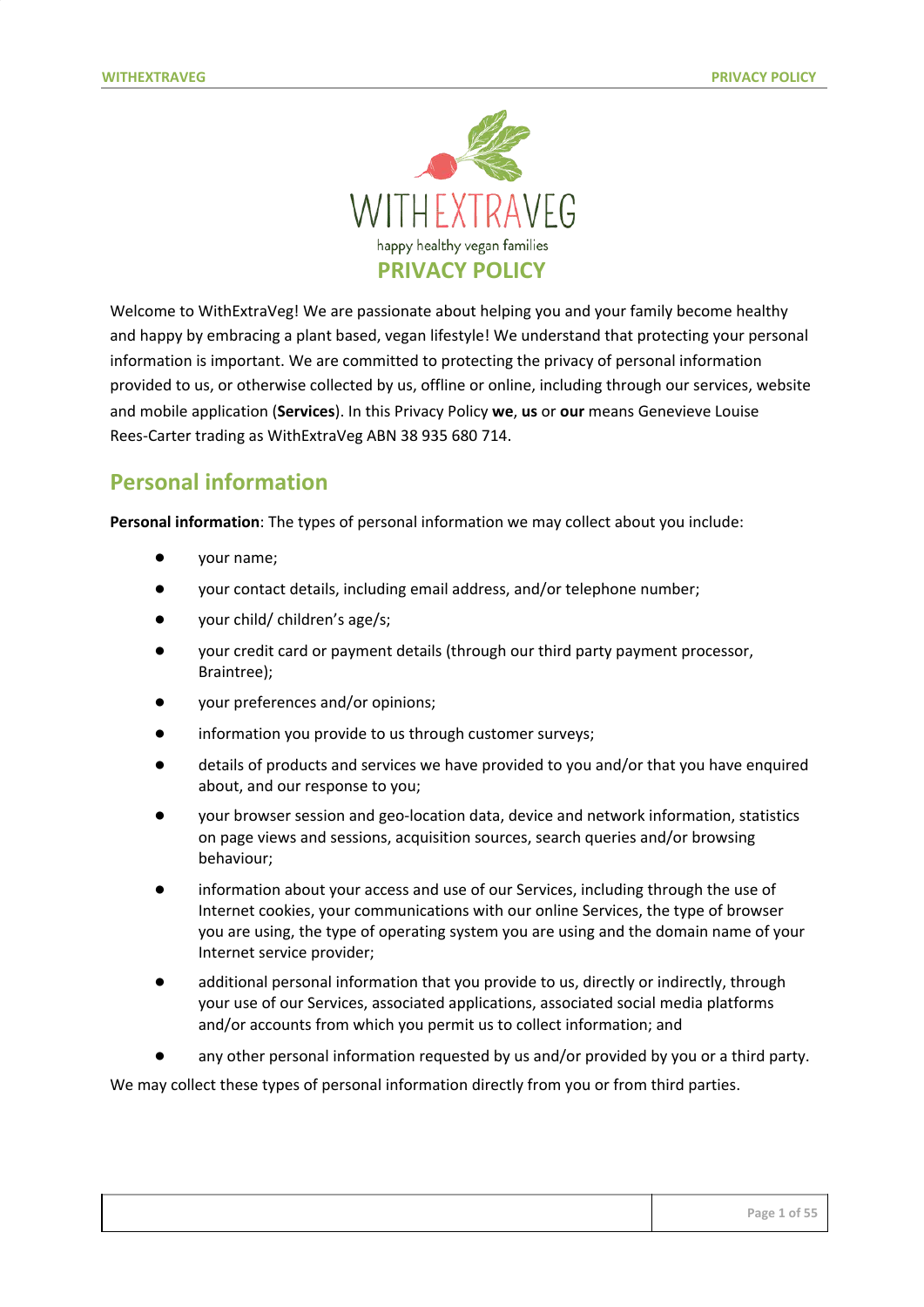

Welcome to WithExtraVeg! We are passionate about helping you and your family become healthy and happy by embracing a plant based, vegan lifestyle! We understand that protecting your personal information is important. We are committed to protecting the privacy of personal information provided to us, or otherwise collected by us, offline or online, including through our services, website and mobile application (**Services**). In this Privacy Policy **we**, **us** or **our** means Genevieve Louise Rees-Carter trading as WithExtraVeg ABN 38 935 680 714.

## **Personal information**

**Personal information**: The types of personal information we may collect about you include:

- your name;
- your contact details, including email address, and/or telephone number;
- your child/ children's age/s;
- your credit card or payment details (through our third party payment processor, Braintree);
- your preferences and/or opinions;
- information you provide to us through customer surveys;
- details of products and services we have provided to you and/or that you have enquired about, and our response to you;
- your browser session and geo-location data, device and network information, statistics on page views and sessions, acquisition sources, search queries and/or browsing behaviour;
- information about your access and use of our Services, including through the use of Internet cookies, your communications with our online Services, the type of browser you are using, the type of operating system you are using and the domain name of your Internet service provider;
- additional personal information that you provide to us, directly or indirectly, through your use of our Services, associated applications, associated social media platforms and/or accounts from which you permit us to collect information; and
- any other personal information requested by us and/or provided by you or a third party.

We may collect these types of personal information directly from you or from third parties.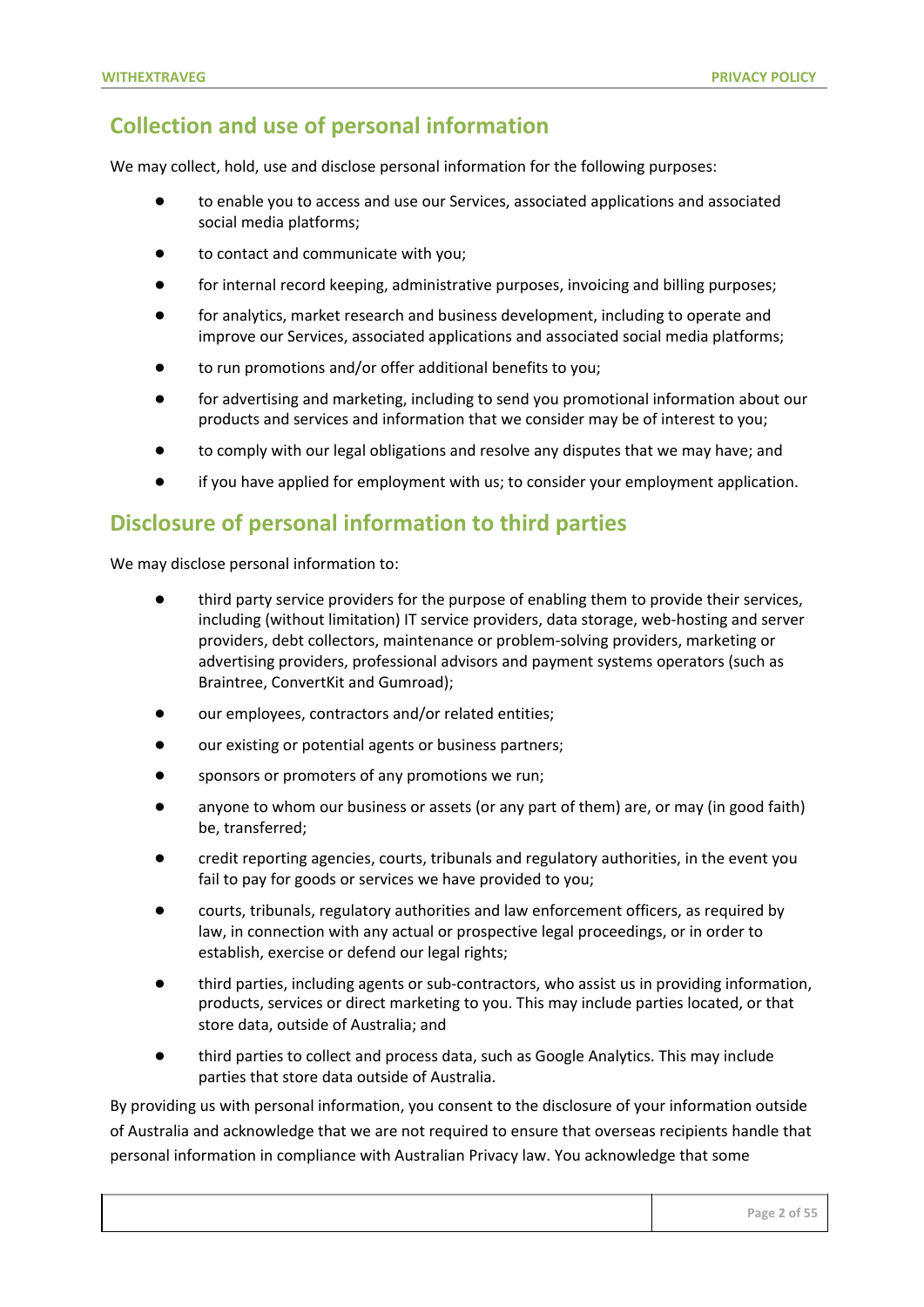## **Collection and use of personal information**

We may collect, hold, use and disclose personal information for the following purposes:

- to enable you to access and use our Services, associated applications and associated social media platforms;
- to contact and communicate with you;
- for internal record keeping, administrative purposes, invoicing and billing purposes;
- for analytics, market research and business development, including to operate and improve our Services, associated applications and associated social media platforms;
- to run promotions and/or offer additional benefits to you;
- for advertising and marketing, including to send you promotional information about our products and services and information that we consider may be of interest to you;
- to comply with our legal obligations and resolve any disputes that we may have; and
- if you have applied for employment with us; to consider your employment application.

### **Disclosure of personal information to third parties**

We may disclose personal information to:

- third party service providers for the purpose of enabling them to provide their services, including (without limitation) IT service providers, data storage, web-hosting and server providers, debt collectors, maintenance or problem-solving providers, marketing or advertising providers, professional advisors and payment systems operators (such as Braintree, ConvertKit and Gumroad);
- our employees, contractors and/or related entities;
- our existing or potential agents or business partners;
- sponsors or promoters of any promotions we run;
- anyone to whom our business or assets (or any part of them) are, or may (in good faith) be, transferred;
- credit reporting agencies, courts, tribunals and regulatory authorities, in the event you fail to pay for goods or services we have provided to you;
- courts, tribunals, regulatory authorities and law enforcement officers, as required by law, in connection with any actual or prospective legal proceedings, or in order to establish, exercise or defend our legal rights;
- third parties, including agents or sub-contractors, who assist us in providing information, products, services or direct marketing to you. This may include parties located, or that store data, outside of Australia; and
- third parties to collect and process data, such as Google Analytics. This may include parties that store data outside of Australia.

By providing us with personal information, you consent to the disclosure of your information outside of Australia and acknowledge that we are not required to ensure that overseas recipients handle that personal information in compliance with Australian Privacy law. You acknowledge that some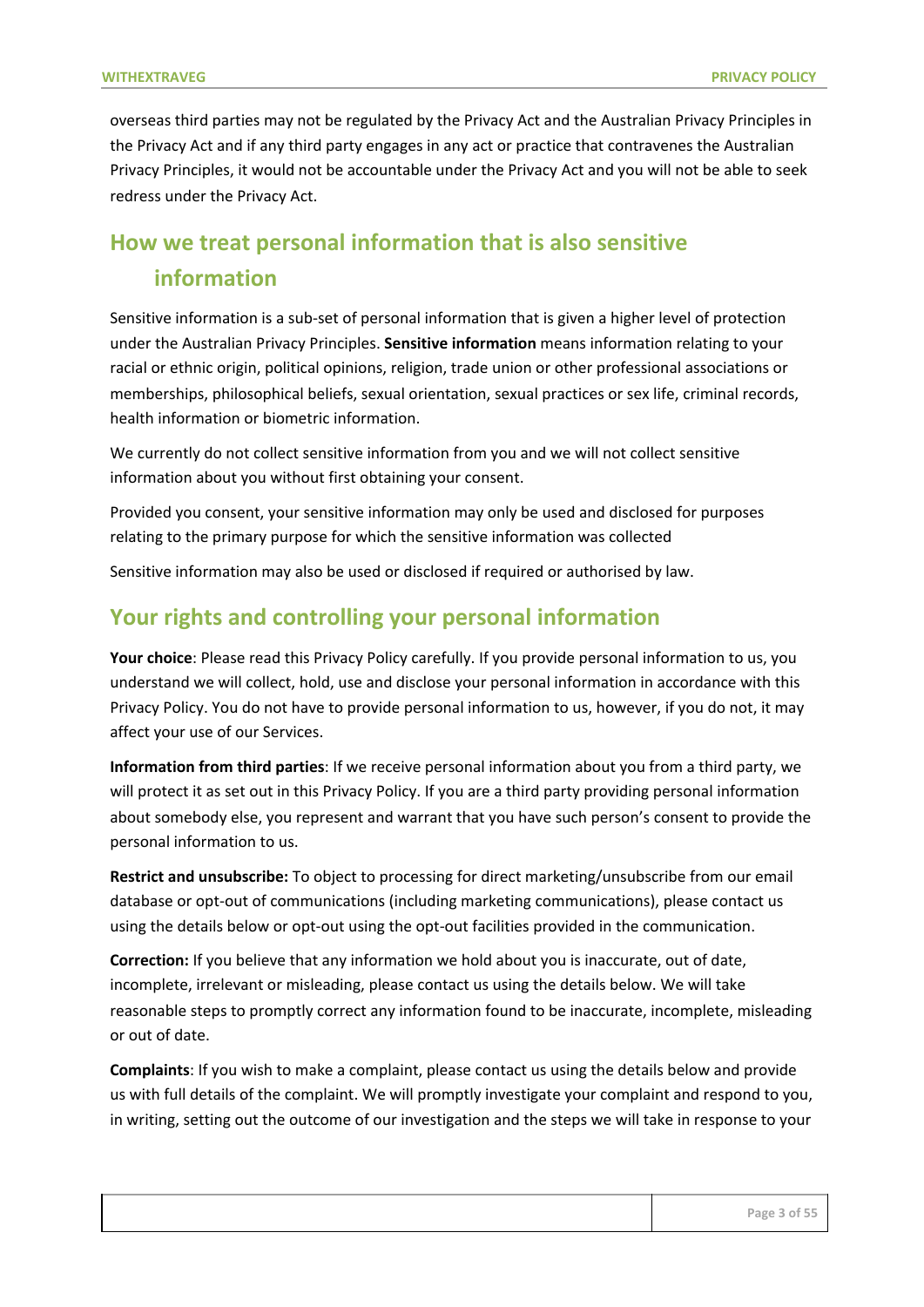overseas third parties may not be regulated by the Privacy Act and the Australian Privacy Principles in the Privacy Act and if any third party engages in any act or practice that contravenes the Australian Privacy Principles, it would not be accountable under the Privacy Act and you will not be able to seek redress under the Privacy Act.

# **How we treat personal information that is also sensitive information**

Sensitive information is a sub-set of personal information that is given a higher level of protection under the Australian Privacy Principles. **Sensitive information** means information relating to your racial or ethnic origin, political opinions, religion, trade union or other professional associations or memberships, philosophical beliefs, sexual orientation, sexual practices or sex life, criminal records, health information or biometric information.

We currently do not collect sensitive information from you and we will not collect sensitive information about you without first obtaining your consent.

Provided you consent, your sensitive information may only be used and disclosed for purposes relating to the primary purpose for which the sensitive information was collected

Sensitive information may also be used or disclosed if required or authorised by law.

### **Your rights and controlling your personal information**

**Your choice**: Please read this Privacy Policy carefully. If you provide personal information to us, you understand we will collect, hold, use and disclose your personal information in accordance with this Privacy Policy. You do not have to provide personal information to us, however, if you do not, it may affect your use of our Services.

**Information from third parties**: If we receive personal information about you from a third party, we will protect it as set out in this Privacy Policy. If you are a third party providing personal information about somebody else, you represent and warrant that you have such person's consent to provide the personal information to us.

**Restrict and unsubscribe:** To object to processing for direct marketing/unsubscribe from our email database or opt-out of communications (including marketing communications), please contact us using the details below or opt-out using the opt-out facilities provided in the communication.

**Correction:** If you believe that any information we hold about you is inaccurate, out of date, incomplete, irrelevant or misleading, please contact us using the details below. We will take reasonable steps to promptly correct any information found to be inaccurate, incomplete, misleading or out of date.

**Complaints**: If you wish to make a complaint, please contact us using the details below and provide us with full details of the complaint. We will promptly investigate your complaint and respond to you, in writing, setting out the outcome of our investigation and the steps we will take in response to your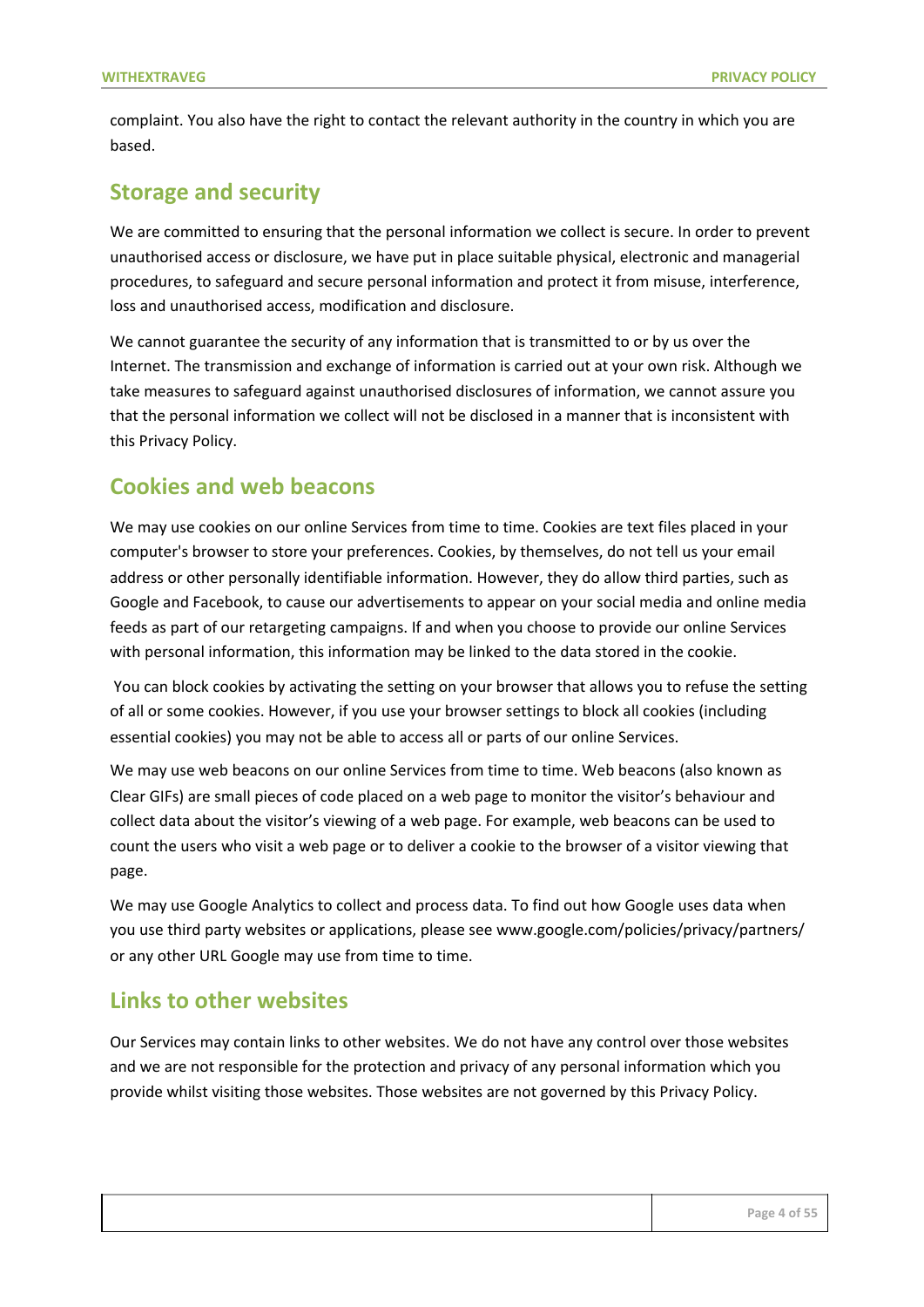complaint. You also have the right to contact the relevant authority in the country in which you are based.

#### **Storage and security**

We are committed to ensuring that the personal information we collect is secure. In order to prevent unauthorised access or disclosure, we have put in place suitable physical, electronic and managerial procedures, to safeguard and secure personal information and protect it from misuse, interference, loss and unauthorised access, modification and disclosure.

We cannot guarantee the security of any information that is transmitted to or by us over the Internet. The transmission and exchange of information is carried out at your own risk. Although we take measures to safeguard against unauthorised disclosures of information, we cannot assure you that the personal information we collect will not be disclosed in a manner that is inconsistent with this Privacy Policy.

#### **Cookies and web beacons**

We may use cookies on our online Services from time to time. Cookies are text files placed in your computer's browser to store your preferences. Cookies, by themselves, do not tell us your email address or other personally identifiable information. However, they do allow third parties, such as Google and Facebook, to cause our advertisements to appear on your social media and online media feeds as part of our retargeting campaigns. If and when you choose to provide our online Services with personal information, this information may be linked to the data stored in the cookie.

 You can block cookies by activating the setting on your browser that allows you to refuse the setting of all or some cookies. However, if you use your browser settings to block all cookies (including essential cookies) you may not be able to access all or parts of our online Services.

We may use web beacons on our online Services from time to time. Web beacons (also known as Clear GIFs) are small pieces of code placed on a web page to monitor the visitor's behaviour and collect data about the visitor's viewing of a web page. For example, web beacons can be used to count the users who visit a web page or to deliver a cookie to the browser of a visitor viewing that page.

We may use Google Analytics to collect and process data. To find out how Google uses data when you use third party websites or applications, please see www.google.com/policies/privacy/partners/ or any other URL Google may use from time to time.

#### **Links to other websites**

Our Services may contain links to other websites. We do not have any control over those websites and we are not responsible for the protection and privacy of any personal information which you provide whilst visiting those websites. Those websites are not governed by this Privacy Policy.